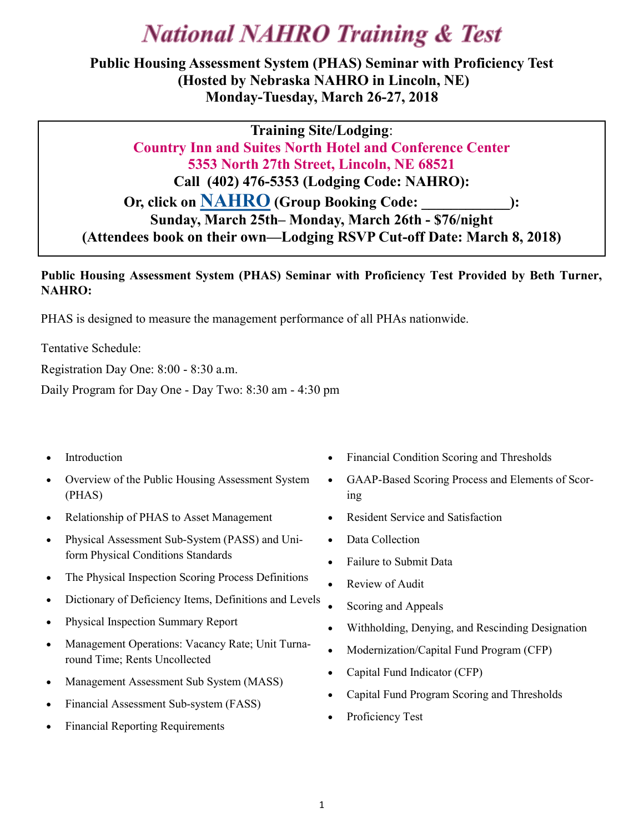# **National NAHRO Training & Test**

**Public Housing Assessment System (PHAS) Seminar with Proficiency Test (Hosted by Nebraska NAHRO in Lincoln, NE) Monday-Tuesday, March 26-27, 2018**

**Training Site/Lodging**: **Country Inn and Suites North Hotel and Conference Center 5353 North 27th Street, Lincoln, NE 68521 Call (402) 476-5353 (Lodging Code: NAHRO): Or, click on [NAHRO](https://gc.synxis.com/rez.aspx?Hotel=76812&Chain=21643&arrive=10/1/2017&depart=10/6/2017&adult=1&child=0&group=171001NAHR) (Group Booking Code: \_\_\_\_\_\_\_\_\_\_\_\_): Sunday, March 25th– Monday, March 26th - \$76/night (Attendees book on their own—Lodging RSVP Cut-off Date: March 8, 2018)**

#### **Public Housing Assessment System (PHAS) Seminar with Proficiency Test Provided by Beth Turner, NAHRO:**

PHAS is designed to measure the management performance of all PHAs nationwide.

Tentative Schedule:

Registration Day One: 8:00 - 8:30 a.m.

Daily Program for Day One - Day Two: 8:30 am - 4:30 pm

- Introduction
- Overview of the Public Housing Assessment System (PHAS)
- Relationship of PHAS to Asset Management
- Physical Assessment Sub-System (PASS) and Uniform Physical Conditions Standards
- The Physical Inspection Scoring Process Definitions
- Dictionary of Deficiency Items, Definitions and Levels
- Physical Inspection Summary Report
- Management Operations: Vacancy Rate; Unit Turnaround Time; Rents Uncollected
- Management Assessment Sub System (MASS)
- Financial Assessment Sub-system (FASS)
- Financial Reporting Requirements
- Financial Condition Scoring and Thresholds
- GAAP-Based Scoring Process and Elements of Scoring
- Resident Service and Satisfaction
- Data Collection
- Failure to Submit Data
- Review of Audit
- Scoring and Appeals
- Withholding, Denying, and Rescinding Designation
- Modernization/Capital Fund Program (CFP)
- Capital Fund Indicator (CFP)
- Capital Fund Program Scoring and Thresholds
- Proficiency Test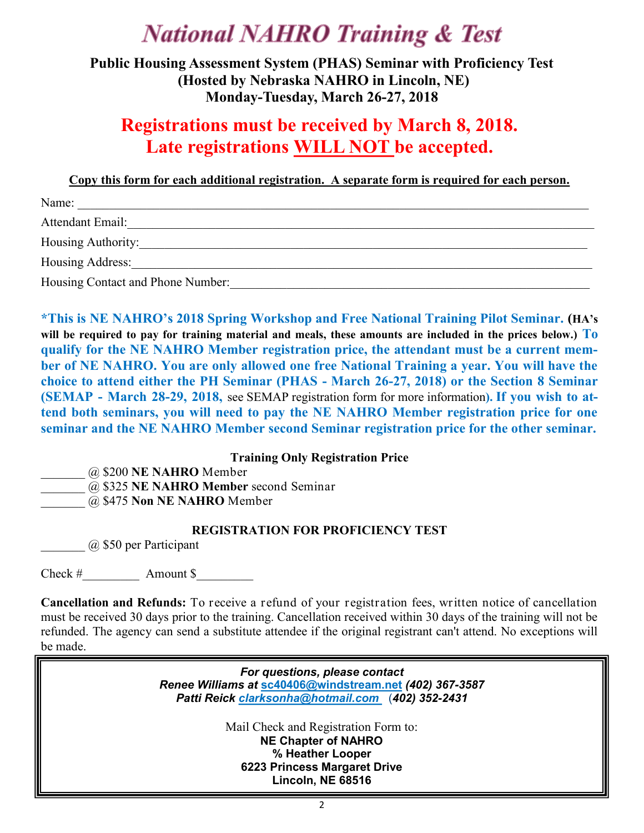# **National NAHRO Training & Test**

**Public Housing Assessment System (PHAS) Seminar with Proficiency Test (Hosted by Nebraska NAHRO in Lincoln, NE) Monday-Tuesday, March 26-27, 2018**

### **Registrations must be received by March 8, 2018. Late registrations WILL NOT be accepted.**

**Copy this form for each additional registration. A separate form is required for each person.**

| Name:                             |
|-----------------------------------|
| Attendant Email:                  |
| Housing Authority:                |
| Housing Address:                  |
| Housing Contact and Phone Number: |

**\*This is NE NAHRO's 2018 Spring Workshop and Free National Training Pilot Seminar. (HA's will be required to pay for training material and meals, these amounts are included in the prices below.) To qualify for the NE NAHRO Member registration price, the attendant must be a current member of NE NAHRO. You are only allowed one free National Training a year. You will have the choice to attend either the PH Seminar (PHAS - March 26-27, 2018) or the Section 8 Seminar (SEMAP - March 28-29, 2018,** see SEMAP registration form for more information**). If you wish to attend both seminars, you will need to pay the NE NAHRO Member registration price for one seminar and the NE NAHRO Member second Seminar registration price for the other seminar.** 

#### **Training Only Registration Price**

\_\_\_\_\_\_\_ @ \$200 **NE NAHRO** Member

\_\_\_\_\_\_\_ @ \$325 **NE NAHRO Member** second Seminar

\_\_\_\_\_\_\_ @ \$475 **Non NE NAHRO** Member

#### **REGISTRATION FOR PROFICIENCY TEST**

 $(a)$  \$50 per Participant

Check # Amount \$

**Cancellation and Refunds:** To receive a refund of your registration fees, written notice of cancellation must be received 30 days prior to the training. Cancellation received within 30 days of the training will not be refunded. The agency can send a substitute attendee if the original registrant can't attend. No exceptions will be made.

> *For questions, please contact Renee Williams at* **[sc40406@windstream.net](mailto:sc40406@windstream.net)** *(402) 367-3587 Patti Reick clarksonha@hotmail.com* (*402) 352-2431*

> > Mail Check and Registration Form to: **NE Chapter of NAHRO % Heather Looper 6223 Princess Margaret Drive Lincoln, NE 68516**